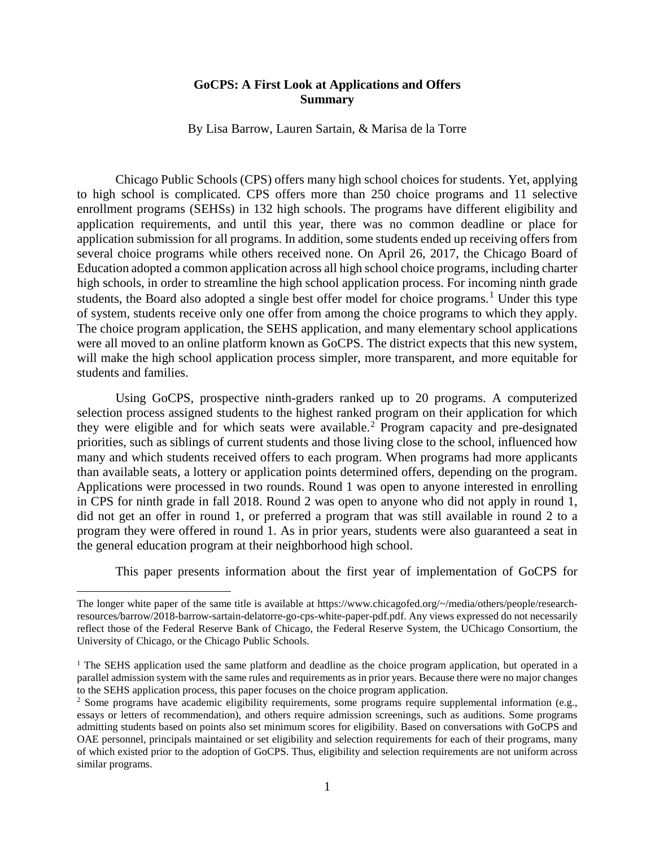## **GoCPS: A First Look at Applications and Offers Summary**

By Lisa Barrow, Lauren Sartain, & Marisa de la Torre

Chicago Public Schools (CPS) offers many high school choices for students. Yet, applying to high school is complicated. CPS offers more than 250 choice programs and 11 selective enrollment programs (SEHSs) in 132 high schools. The programs have different eligibility and application requirements, and until this year, there was no common deadline or place for application submission for all programs. In addition, some students ended up receiving offers from several choice programs while others received none. On April 26, 2017, the Chicago Board of Education adopted a common application across all high school choice programs, including charter high schools, in order to streamline the high school application process. For incoming ninth grade students, the Board also adopted a single best offer model for choice programs.<sup>[1](#page-0-0)</sup> Under this type of system, students receive only one offer from among the choice programs to which they apply. The choice program application, the SEHS application, and many elementary school applications were all moved to an online platform known as GoCPS. The district expects that this new system, will make the high school application process simpler, more transparent, and more equitable for students and families.

Using GoCPS, prospective ninth-graders ranked up to 20 programs. A computerized selection process assigned students to the highest ranked program on their application for which they were eligible and for which seats were available.<sup>[2](#page-0-1)</sup> Program capacity and pre-designated priorities, such as siblings of current students and those living close to the school, influenced how many and which students received offers to each program. When programs had more applicants than available seats, a lottery or application points determined offers, depending on the program. Applications were processed in two rounds. Round 1 was open to anyone interested in enrolling in CPS for ninth grade in fall 2018. Round 2 was open to anyone who did not apply in round 1, did not get an offer in round 1, or preferred a program that was still available in round 2 to a program they were offered in round 1. As in prior years, students were also guaranteed a seat in the general education program at their neighborhood high school.

This paper presents information about the first year of implementation of GoCPS for

 $\overline{a}$ 

<span id="page-0-0"></span>The longer white paper of the same title is available at https://www.chicagofed.org/~/media/others/people/researchresources/barrow/2018-barrow-sartain-delatorre-go-cps-white-paper-pdf.pdf. Any views expressed do not necessarily reflect those of the Federal Reserve Bank of Chicago, the Federal Reserve System, the UChicago Consortium, the University of Chicago, or the Chicago Public Schools.

<sup>&</sup>lt;sup>1</sup> The SEHS application used the same platform and deadline as the choice program application, but operated in a parallel admission system with the same rules and requirements as in prior years. Because there were no major changes to the SEHS application process, this paper focuses on the choice program application.

<span id="page-0-1"></span><sup>2</sup> Some programs have academic eligibility requirements, some programs require supplemental information (e.g., essays or letters of recommendation), and others require admission screenings, such as auditions. Some programs admitting students based on points also set minimum scores for eligibility. Based on conversations with GoCPS and OAE personnel, principals maintained or set eligibility and selection requirements for each of their programs, many of which existed prior to the adoption of GoCPS. Thus, eligibility and selection requirements are not uniform across similar programs.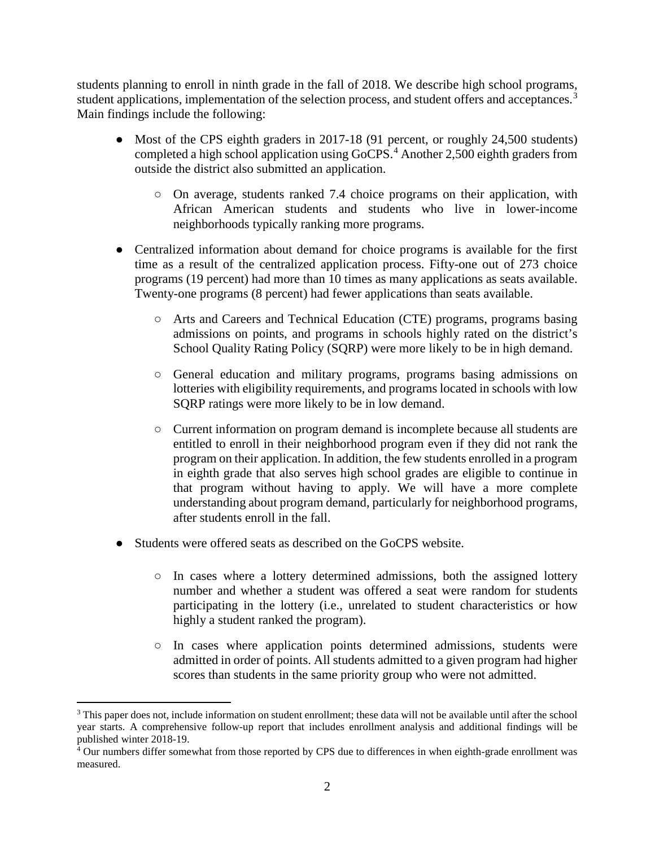students planning to enroll in ninth grade in the fall of 2018. We describe high school programs, student applications, implementation of the selection process, and student offers and acceptances.<sup>[3](#page-1-0)</sup> Main findings include the following:

- Most of the CPS eighth graders in 2017-18 (91 percent, or roughly 24,500 students) completed a high school application using GoCPS. [4](#page-1-1) Another 2,500 eighth graders from outside the district also submitted an application.
	- On average, students ranked 7.4 choice programs on their application, with African American students and students who live in lower-income neighborhoods typically ranking more programs.
- Centralized information about demand for choice programs is available for the first time as a result of the centralized application process. Fifty-one out of 273 choice programs (19 percent) had more than 10 times as many applications as seats available. Twenty-one programs (8 percent) had fewer applications than seats available.
	- Arts and Careers and Technical Education (CTE) programs, programs basing admissions on points, and programs in schools highly rated on the district's School Quality Rating Policy (SQRP) were more likely to be in high demand.
	- General education and military programs, programs basing admissions on lotteries with eligibility requirements, and programs located in schools with low SQRP ratings were more likely to be in low demand.
	- Current information on program demand is incomplete because all students are entitled to enroll in their neighborhood program even if they did not rank the program on their application. In addition, the few students enrolled in a program in eighth grade that also serves high school grades are eligible to continue in that program without having to apply. We will have a more complete understanding about program demand, particularly for neighborhood programs, after students enroll in the fall.
- Students were offered seats as described on the GoCPS website.
	- In cases where a lottery determined admissions, both the assigned lottery number and whether a student was offered a seat were random for students participating in the lottery (i.e., unrelated to student characteristics or how highly a student ranked the program).
	- In cases where application points determined admissions, students were admitted in order of points. All students admitted to a given program had higher scores than students in the same priority group who were not admitted.

<span id="page-1-0"></span><sup>&</sup>lt;sup>3</sup> This paper does not, include information on student enrollment; these data will not be available until after the school year starts. A comprehensive follow-up report that includes enrollment analysis and additional findings will be published winter 2018-19.

<span id="page-1-1"></span><sup>4</sup> Our numbers differ somewhat from those reported by CPS due to differences in when eighth-grade enrollment was measured.